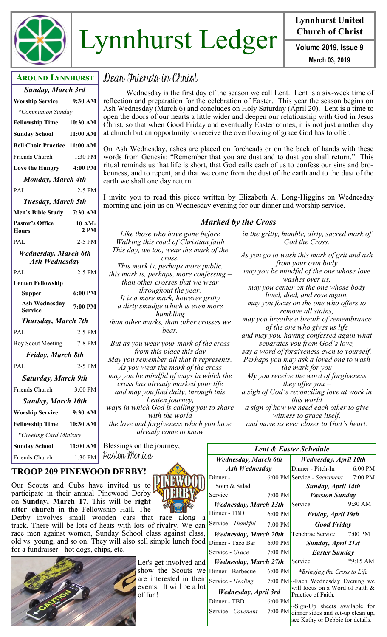

Lynnhurst Ledger  $\frac{C$ hurch of Christ

**Lynnhurst United Church of Christ**

**March 03, 2019**

| <b>AROUND LYNNHURST</b>                      |                |  |  |
|----------------------------------------------|----------------|--|--|
| <b>Sunday, March 3rd</b>                     |                |  |  |
| <b>Worship Service</b>                       | 9:30 AM        |  |  |
| *Communion Sunday                            |                |  |  |
| <b>Fellowship Time</b>                       | 10:30 AM       |  |  |
| <b>Sunday School</b>                         | 11:00 AM       |  |  |
| <b>Bell Choir Practice 11:00 AM</b>          |                |  |  |
| Friends Church                               | 1:30 PM        |  |  |
| Love the Hungry                              | 4:00 PM        |  |  |
| <b>Monday, March 4th</b>                     |                |  |  |
| PAL                                          | 2-5 PM         |  |  |
| <b>Tuesday, March 5th</b>                    |                |  |  |
| <b>Men's Bible Study</b>                     | 7:30 AM        |  |  |
| <b>Pastor's Office</b><br>Hours              | 10 AM-<br>2 PM |  |  |
| PAL                                          | 2-5 PM         |  |  |
| Wednesday, March 6th<br><b>Ash Wednesday</b> |                |  |  |
| PAL                                          | 2-5 PM         |  |  |
| <b>Lenten Fellowship</b>                     |                |  |  |
| Supper                                       | 6:00 PM        |  |  |
| <b>Ash Wednesday</b><br><b>Service</b>       | 7:00 PM        |  |  |
| Thursday, March 7th                          |                |  |  |
| PAL                                          | 2-5 PM         |  |  |
| <b>Boy Scout Meeting</b>                     | 7-8 PM         |  |  |
| Friday, March 8th                            |                |  |  |
| PAL                                          | 2-5 PM         |  |  |
| <b>Saturday, March 9th</b>                   |                |  |  |
| Friends Church                               | 3:00 PM        |  |  |
| <b>Sunday, March 10th</b>                    |                |  |  |
| <b>Worship Service</b>                       | 9:30 AM        |  |  |
| Fellowship Time 10:30 AM                     |                |  |  |
| *Greeting Card Ministry                      |                |  |  |
| <b>Sunday School</b>                         | 11:00 AM       |  |  |
| Friends Church                               | 1:30 PM        |  |  |
|                                              |                |  |  |

# Dear Friends in Christ,

Wednesday is the first day of the season we call Lent. Lent is a six-week time of reflection and preparation for the celebration of Easter. This year the season begins on Ash Wednesday (March 6) and concludes on Holy Saturday (April 20). Lent is a time to open the doors of our hearts a little wider and deepen our relationship with God in Jesus Christ, so that when Good Friday and eventually Easter comes, it is not just another day at church but an opportunity to receive the overflowing of grace God has to offer.

On Ash Wednesday, ashes are placed on foreheads or on the back of hands with these words from Genesis: "Remember that you are dust and to dust you shall return." This ritual reminds us that life is short, that God calls each of us to confess our sins and brokenness, and to repent, and that we come from the dust of the earth and to the dust of the earth we shall one day return.

I invite you to read this piece written by Elizabeth A. Long-Higgins on Wednesday morning and join us on Wednesday evening for our dinner and worship service.

### *Marked by the Cross*

*Like those who have gone before Walking this road of Christian faith This day, we too, wear the mark of the cross. This mark is, perhaps more public, this mark is, perhaps, more confessing – than other crosses that we wear throughout the year. It is a mere mark, however gritty a dirty smudge which is even more humbling than other marks, than other crosses we bear. But as you wear your mark of the cross from this place this day May you remember all that it represents. As you wear the mark of the cross may you be mindful of ways in which the cross has already marked your life and may you find daily, through this Lenten journey, ways in which God is calling you to share* 

*with the world the love and forgiveness which you have already come to know*

Blessings on the journey, Pastor Monica



*in the gritty, humble, dirty, sacred mark of* 

*washes over us, may you center on the one whose body* 

*lived, died, and rose again, may you focus on the one who offers to* 

*remove all stains, may you breathe a breath of remembrance* 

*of the one who gives us life and may you, having confessed again what* 

*separates you from God's love,*

*say a word of forgiveness even to yourself. Perhaps you may ask a loved one to wash the mark for you*

*My you receive the word of forgiveness they offer you –*

*a sigh of God's reconciling love at work in this world*

*a sign of how we need each other to give witness to grace itself,*

*and move us ever closer to God's heart.* 

## **TROOP 209 PINEWOOD DERBY!**

Our Scouts and Cubs have invited us to participate in their annual Pinewood Derby on **Sunday, March 17**. This will be **right after church** in the Fellowship Hall. The Derby involves small wooden cars that race along a

track. There will be lots of heats with lots of rivalry. We can race men against women, Sunday School class against class, old vs. young, and so on. They will also sell simple lunch food for a fundraiser - hot dogs, chips, etc.



Let's get involved and show the Scouts we are interested in their events. It will be a lot of fun!

| <b>Lent &amp; Easter Schedule</b>   |                                                      |                                                                                                              |                           |  |
|-------------------------------------|------------------------------------------------------|--------------------------------------------------------------------------------------------------------------|---------------------------|--|
|                                     | <b>Wednesday, April 10th</b><br>Wednesday, March 6th |                                                                                                              |                           |  |
|                                     | Ash Wednesday                                        |                                                                                                              | Dinner - Pitch-In 6:00 PM |  |
| Dinner -                            |                                                      | 6:00 PM Service - Sacrament 7:00 PM                                                                          |                           |  |
| Soup & Salad                        |                                                      | Sunday, April 14th                                                                                           |                           |  |
| Service                             | $7:00$ PM                                            | <b>Passion Sunday</b>                                                                                        |                           |  |
| <b>Wednesday, March 13th</b>        |                                                      | Service                                                                                                      | $9:30$ AM                 |  |
| Dinner - TBD                        | $6:00$ PM                                            | Friday, April 19th                                                                                           |                           |  |
| Service - Thankful 7:00 PM          |                                                      | <b>Good Friday</b>                                                                                           |                           |  |
| Wednesday, March 20th               |                                                      | Tenebrae Service                                                                                             | $7:00 \text{ PM}$         |  |
| Dinner - Taco Bar $6:00 \text{ PM}$ |                                                      | <b>Sunday, April 21st</b>                                                                                    |                           |  |
| Service - Grace 7:00 PM             |                                                      | <b>Easter Sunday</b>                                                                                         |                           |  |
| Wednesday, March 27th               |                                                      | $*9:15 \text{ AM}$<br>Service                                                                                |                           |  |
| Dinner - Barbecue 6:00 PM           |                                                      | *Bringing the Cross to Life                                                                                  |                           |  |
|                                     |                                                      | Service - Healing 7:00 PM - Each Wednesday Evening we                                                        |                           |  |
| Wednesday, April 3rd                |                                                      | will focus on a Word of Faith &<br>Practice of Faith.                                                        |                           |  |
| Dinner - TBD                        | $6:00$ PM                                            |                                                                                                              |                           |  |
| Service - Covenant 7:00 PM          |                                                      | $\sim$ Sign-Up sheets available for<br>dinner sides and set-up clean up,<br>see Kathy or Debbie for details. |                           |  |